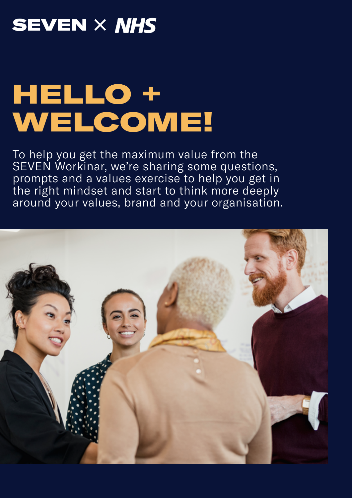### **SEVEN X NHS**

# HELLO + WELCOME!

To help you get the maximum value from the SEVEN Workinar, we're sharing some questions, prompts and a values exercise to help you get in the right mindset and start to think more deeply around your values, brand and your organisation.

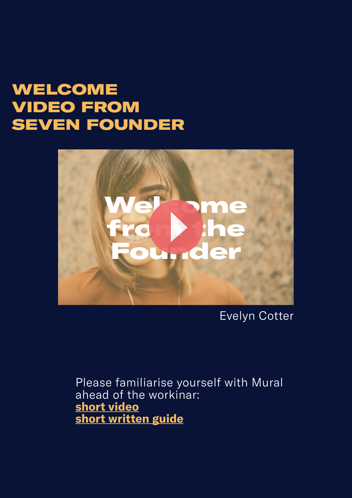### WELCOME VIDEO FROM SEVEN FOUNDER



Evelyn Cotter

Please familiarise yourself with Mural ahead of the workinar: **[short video](https://drive.google.com/file/d/1GhW5SDSGiDrMnhHaaHJndK1QXNQMcpf1/view?usp=sharing) [short written guide](https://drive.google.com/file/d/1OECorluDCyKBvM5p8vw9ZIXWacW4gBPZ/view?usp=sharing)**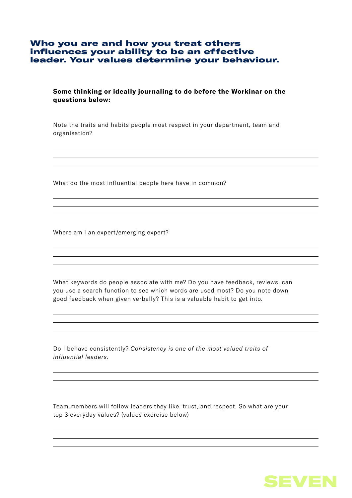#### Who you are and how you treat others influences your ability to be an effective leader. Your values determine your behaviour.

**Some thinking or ideally journaling to do before the Workinar on the questions below:**

Note the traits and habits people most respect in your department, team and organisation?

What do the most influential people here have in common?

Where am I an expert/emerging expert?

What keywords do people associate with me? Do you have feedback, reviews, can you use a search function to see which words are used most? Do you note down good feedback when given verbally? This is a valuable habit to get into.

Do I behave consistently? *Consistency is one of the most valued traits of influential leaders.*

Team members will follow leaders they like, trust, and respect. So what are your top 3 everyday values? (values exercise below)

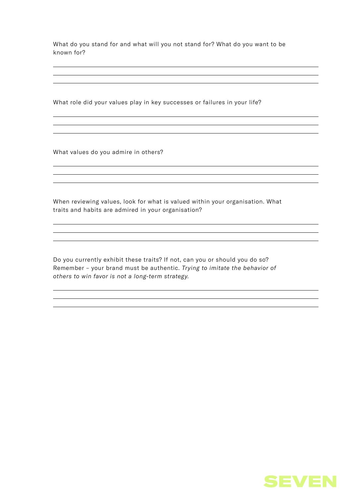What do you stand for and what will you not stand for? What do you want to be known for?

What role did your values play in key successes or failures in your life?

What values do you admire in others?

When reviewing values, look for what is valued within your organisation. What traits and habits are admired in your organisation?

Do you currently exhibit these traits? If not, can you or should you do so? Remember – your brand must be authentic. *Trying to imitate the behavior of others to win favor is not a long-term strategy.*

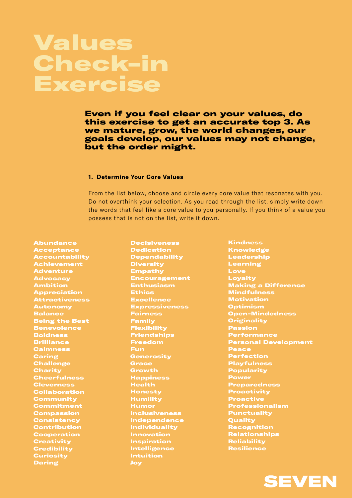### Values Check-in Exercise

Even if you feel clear on your values, do this exercise to get an accurate top 3. As we mature, grow, the world changes, our goals develop, our values may not change, but the order might.

#### **1. Determine Your Core Values**

From the list below, choose and circle every core value that resonates with you. Do not overthink your selection. As you read through the list, simply write down the words that feel like a core value to you personally. If you think of a value you possess that is not on the list, write it down.

Abundance Acceptance Accountability Achievement Adventure **Advocacy** Ambition Appreciation Attractiveness Autonomy Balance Being the Best **Benevolence** Boldness **Brilliance** Calmness **Caring Challenge Charity Cheerfulness** Cleverness **Collaboration Community** Commitment Compassion **Consistency** Contribution **Cooperation Creativity Credibility Curiosity** Daring

**Decisiveness** Dedication Dependability **Diversity** Empathy Encouragement Enthusiasm Ethics **Excellence** Expressiveness Fairness Family Flexibility **Friendships** Freedom Fun **Generosity Grace** Growth Happiness lealth Honesty **Humility** Humor Inclusiveness Independence **Individuality** Innovation Inspiration Intelligence Intuition Joy

Kindness Knowledge Leadership Learning Love Loyalty Making a Difference Mindfulness **Motivation Optimism** Open-Mindedness **Originality** Passion erfo<u>rmance</u> Personal Development Peace Perfection Playfulness **Popularity** Power Preparedness **Proactivity** Proactive Professionalism **Punctuality Ouality** Recognition Relationships **Reliability Resilience** 

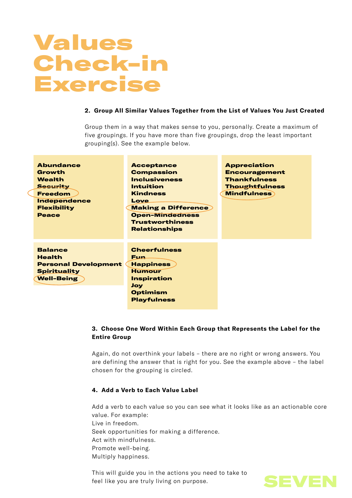### Values Check-in Exercise

#### **2. Group All Similar Values Together from the List of Values You Just Created**

Group them in a way that makes sense to you, personally. Create a maximum of five groupings. If you have more than five groupings, drop the least important grouping(s). See the example below.

| <b>Abundance</b>            | <b>Acceptance</b>          | <b>Appreciation</b>   |
|-----------------------------|----------------------------|-----------------------|
| Growth                      | <b>Compassion</b>          | <b>Encouragement</b>  |
| <b>Wealth</b>               | <b>Inclusiveness</b>       | <b>Thankfulness</b>   |
| <b>Security</b>             | <b>Intuition</b>           | <b>Thoughtfulness</b> |
| <b>Freedom</b>              | <b>Kindness</b>            | <b>Mindfulness</b>    |
| <b>Independence</b>         | Love                       |                       |
| <b>Flexibility</b>          | <b>Making a Difference</b> |                       |
| <b>Peace</b>                | <b>Open-Mindedness</b>     |                       |
|                             | <b>Trustworthiness</b>     |                       |
|                             | <b>Relationships</b>       |                       |
|                             |                            |                       |
|                             |                            |                       |
| <b>Balance</b>              | <b>Cheerfulness</b>        |                       |
| <b>Health</b>               | <b>Fun</b>                 |                       |
| <b>Personal Development</b> | <b>Happiness</b>           |                       |
| <b>Spirituality</b>         | <b>Humour</b>              |                       |
| <b>Well-Being</b>           | Inspiration                |                       |
|                             | <b>Joy</b>                 |                       |
|                             | Optimism                   |                       |
|                             | <b>Playfulness</b>         |                       |
|                             |                            |                       |

#### **3. Choose One Word Within Each Group that Represents the Label for the Entire Group**

Again, do not overthink your labels – there are no right or wrong answers. You are defining the answer that is right for you. See the example above – the label chosen for the grouping is circled.

#### **4. Add a Verb to Each Value Label**

Add a verb to each value so you can see what it looks like as an actionable core value. For example: Live in freedom. Seek opportunities for making a difference. Act with mindfulness. Promote well-being. Multiply happiness.

This will guide you in the actions you need to take to feel like you are truly living on purpose.

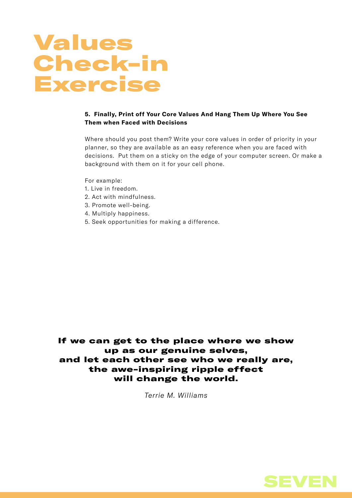### Values Check-in Exercise

#### **5. Finally, Print off Your Core Values And Hang Them Up Where You See Them when Faced with Decisions**

Where should you post them? Write your core values in order of priority in your planner, so they are available as an easy reference when you are faced with decisions. Put them on a sticky on the edge of your computer screen. Or make a background with them on it for your cell phone.

For example:

- 1. Live in freedom.
- 2. Act with mindfulness.
- 3. Promote well-being.
- 4. Multiply happiness.
- 5. Seek opportunities for making a difference.

If we can get to the place where we show up as our genuine selves, and let each other see who we really are, the awe-inspiring ripple effect will change the world.

*Terrie M. Williams*

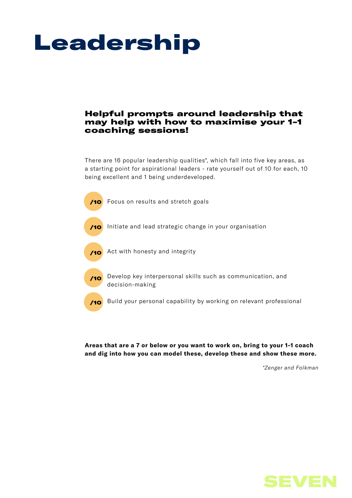## Leadership

#### Helpful prompts around leadership that may help with how to maximise your 1-1 coaching sessions!

There are 16 popular leadership qualities\*, which fall into five key areas, as a starting point for aspirational leaders - rate yourself out of 10 for each, 10 being excellent and 1 being underdeveloped.

**/10** Focus on results and stretch goals /10 Initiate and lead strategic change in your organisation /10 Act with honesty and integrity Develop key interpersonal skills such as communication, and /10 decision-making Build your personal capability by working on relevant professional /10

**Areas that are a 7 or below or you want to work on, bring to your 1-1 coach and dig into how you can model these, develop these and show these more.**

*\*Zenger and Folkman*